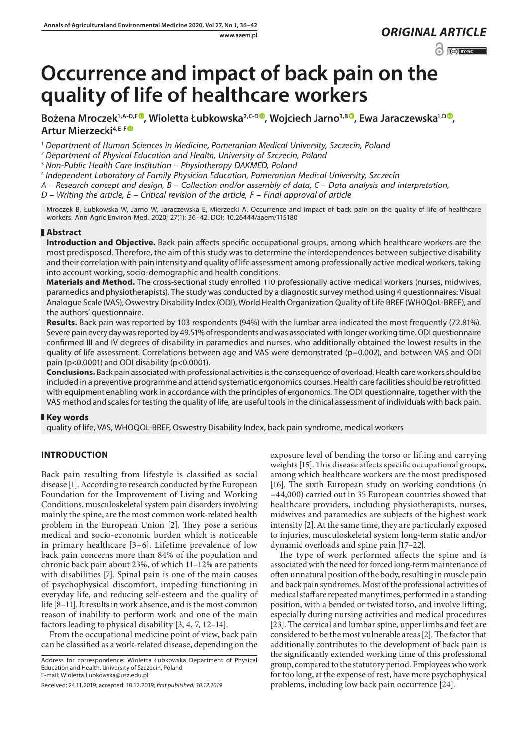www.aaem.pl *ORIGINAL [ARTICLE](https://creativecommons.org/licenses/by-nc/3.0/pl/deed.en)* 

 $\odot$   $\odot$  BY-NC

# **Occurrence and impact of back pain on the quality of life of healthcare workers**

Bożena Mroczek<sup>1[,](https://orcid.org/0000-0003-1409-4872)A-D,F</sup> **, Wioletta Łubkowska<sup>2,C-D</sup> , Wojciech Jarno<sup>3,B</sup> , Ewa Jaraczewska<sup>1,D</sup> , Artur Mierzecki4,E-F**

<sup>1</sup> *Department of Human Sciences in Medicine, Pomeranian Medical University, Szczecin, Poland*

<sup>2</sup> *Department of Physical Education and Health, University of Szczecin, Poland*

<sup>3</sup> *Non-Public Health Care Institution – Physiotherapy DAKMED, Poland*

<sup>4</sup> *Independent Laboratory of Family Physician Education, Pomeranian Medical University, Szczecin*

*A – Research concept and design, B – Collection and/or assembly of data, C – Data analysis and interpretation,* 

*D – Writing the article, E – Critical revision of the article, F – Final approval of article*

Mroczek B, Łubkowska W, Jarno W, Jaraczewska E, Mierzecki A. Occurrence and impact of back pain on the quality of life of healthcare workers. Ann Agric Environ Med. 2020; 27(1): 36–42. DOI: 10.26444/aaem/115180

# **Abstract**

**Introduction and Objective.** Back pain affects specific occupational groups, among which healthcare workers are the most predisposed. Therefore, the aim of this study was to determine the interdependences between subjective disability and their correlation with pain intensity and quality of life assessment among professionally active medical workers, taking into account working, socio-demographic and health conditions.

**Materials and Method.** The cross-sectional study enrolled 110 professionally active medical workers (nurses, midwives, paramedics and physiotherapists). The study was conducted by a diagnostic survey method using 4 questionnaires: Visual Analogue Scale (VAS), Oswestry Disability Index (ODI), World Health Organization Quality of Life BREF (WHOQoL-BREF), and the authors' questionnaire.

**Results.** Back pain was reported by 103 respondents (94%) with the lumbar area indicated the most frequently (72.81%). Severe pain every day was reported by 49.51% of respondents and was associated with longer working time. ODI questionnaire confirmed III and IV degrees of disability in paramedics and nurses, who additionally obtained the lowest results in the quality of life assessment. Correlations between age and VAS were demonstrated (p=0.002), and between VAS and ODI pain (p<0.0001) and ODI disability (p<0.0001).

**Conclusions.** Back pain associated with professional activities is the consequence of overload. Health care workers should be included in a preventive programme and attend systematic ergonomics courses. Health care facilities should be retrofitted with equipment enabling work in accordance with the principles of ergonomics. The ODI questionnaire, together with the VAS method and scales for testing the quality of life, are useful tools in the clinical assessment of individuals with back pain.

# **Key words**

quality of life, VAS, WHOQOL-BREF, Oswestry Disability Index, back pain syndrome, medical workers

# **INTRODUCTION**

Back pain resulting from lifestyle is classified as social disease [1]. According to research conducted by the European Foundation for the Improvement of Living and Working Conditions, musculoskeletal system pain disorders involving mainly the spine, are the most common work-related health problem in the European Union [2]. They pose a serious medical and socio-economic burden which is noticeable in primary healthcare [3–6]. Lifetime prevalence of low back pain concerns more than 84% of the population and chronic back pain about 23%, of which 11–12% are patients with disabilities [7]. Spinal pain is one of the main causes of psychophysical discomfort, impeding functioning in everyday life, and reducing self-esteem and the quality of life [8–11]. It results in work absence, and is the most common reason of inability to perform work and one of the main factors leading to physical disability [3, 4, 7, 12–14].

From the occupational medicine point of view, back pain can be classified as a work-related disease, depending on the

Address for correspondence: Wioletta Łubkowska Department of Physical Education and Health, University of Szczecin, Poland E-mail: Wioletta.Lubkowska@usz.edu.pl

exposure level of bending the torso or lifting and carrying weights [15]. This disease affects specific occupational groups, among which healthcare workers are the most predisposed [16]. The sixth European study on working conditions (n =44,000) carried out in 35 European countries showed that healthcare providers, including physiotherapists, nurses, midwives and paramedics are subjects of the highest work intensity [2]. At the same time, they are particularly exposed to injuries, musculoskeletal system long-term static and/or dynamic overloads and spine pain [17–22].

The type of work performed affects the spine and is associated with the need for forced long-term maintenance of often unnatural position of the body, resulting in muscle pain and back pain syndromes. Most of the professional activities of medical staff are repeated many times, performed in a standing position, with a bended or twisted torso, and involve lifting, especially during nursing activities and medical procedures [23]. The cervical and lumbar spine, upper limbs and feet are considered to be the most vulnerable areas [2]. The factor that additionally contributes to the development of back pain is the significantly extended working time of this professional group, compared to the statutory period. Employees who work for too long, at the expense of rest, have more psychophysical problems, including low back pain occurrence [24].

Received: 24.11.2019; accepted: 10.12.2019; *first published: 30.12.2019*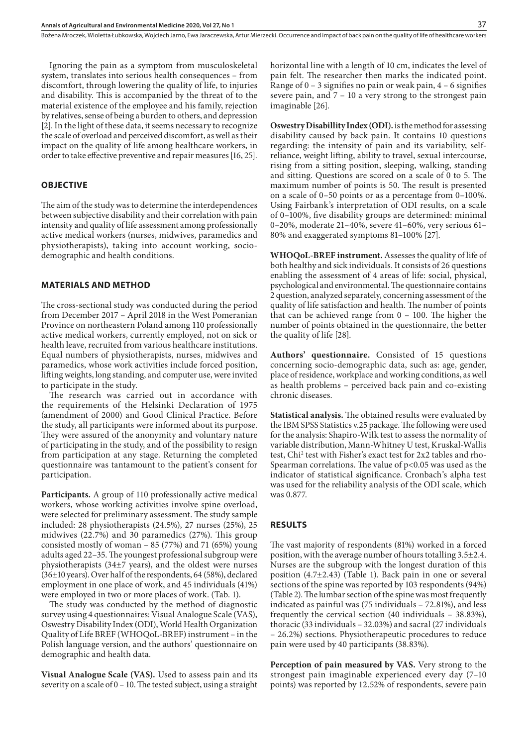Ignoring the pain as a symptom from musculoskeletal system, translates into serious health consequences – from discomfort, through lowering the quality of life, to injuries and disability. This is accompanied by the threat of to the material existence of the employee and his family, rejection by relatives, sense of being a burden to others, and depression [2]. In the light of these data, it seems necessary to recognize the scale of overload and perceived discomfort, as well as their impact on the quality of life among healthcare workers, in order to take effective preventive and repair measures [16, 25].

## **OBJECTIVE**

The aim of the study was to determine the interdependences between subjective disability and their correlation with pain intensity and quality of life assessment among professionally active medical workers (nurses, midwives, paramedics and physiotherapists), taking into account working, sociodemographic and health conditions.

#### **MATERIALS AND METHOD**

The cross-sectional study was conducted during the period from December 2017 – April 2018 in the West Pomeranian Province on northeastern Poland among 110 professionally active medical workers, currently employed, not on sick or health leave, recruited from various healthcare institutions. Equal numbers of physiotherapists, nurses, midwives and paramedics, whose work activities include forced position, lifting weights, long standing, and computer use, were invited to participate in the study.

The research was carried out in accordance with the requirements of the Helsinki Declaration of 1975 (amendment of 2000) and Good Clinical Practice. Before the study, all participants were informed about its purpose. They were assured of the anonymity and voluntary nature of participating in the study, and of the possibility to resign from participation at any stage. Returning the completed questionnaire was tantamount to the patient's consent for participation.

**Participants.** A group of 110 professionally active medical workers, whose working activities involve spine overload, were selected for preliminary assessment. The study sample included: 28 physiotherapists (24.5%), 27 nurses (25%), 25 midwives (22.7%) and 30 paramedics (27%). This group consisted mostly of woman – 85 (77%) and 71 (65%) young adults aged 22–35. The youngest professional subgroup were physiotherapists (34±7 years), and the oldest were nurses (36±10 years). Over half of the respondents, 64 (58%), declared employment in one place of work, and 45 individuals (41%) were employed in two or more places of work. (Tab. 1).

The study was conducted by the method of diagnostic survey using 4 questionnaires: Visual Analogue Scale (VAS), Oswestry Disability Index (ODI), World Health Organization Quality of Life BREF (WHOQoL-BREF) instrument – in the Polish language version, and the authors' questionnaire on demographic and health data.

**Visual Analogue Scale (VAS).** Used to assess pain and its severity on a scale of 0 – 10. The tested subject, using a straight horizontal line with a length of 10 cm, indicates the level of pain felt. The researcher then marks the indicated point. Range of  $0 - 3$  signifies no pain or weak pain,  $4 - 6$  signifies severe pain, and 7 – 10 a very strong to the strongest pain imaginable [26].

**Oswestry Disabillity Index (ODI).** is the method for assessing disability caused by back pain. It contains 10 questions regarding: the intensity of pain and its variability, selfreliance, weight lifting, ability to travel, sexual intercourse, rising from a sitting position, sleeping, walking, standing and sitting. Questions are scored on a scale of 0 to 5. The maximum number of points is 50. The result is presented on a scale of 0–50 points or as a percentage from 0–100%. Using Fairbank's interpretation of ODI results, on a scale of 0–100%, five disability groups are determined: minimal 0–20%, moderate 21–40%, severe 41–60%, very serious 61– 80% and exaggerated symptoms 81–100% [27].

**WHOQoL-BREF instrument.** Assesses the quality of life of both healthy and sick individuals. It consists of 26 questions enabling the assessment of 4 areas of life: social, physical, psychological and environmental. The questionnaire contains 2 question, analyzed separately, concerning assessment of the quality of life satisfaction and health. The number of points that can be achieved range from 0 – 100. The higher the number of points obtained in the questionnaire, the better the quality of life [28].

**Authors' questionnaire.** Consisted of 15 questions concerning socio-demographic data, such as: age, gender, place of residence, workplace and working conditions, as well as health problems – perceived back pain and co-existing chronic diseases.

**Statistical analysis.** The obtained results were evaluated by the IBM SPSS Statistics v.25 package. The following were used for the analysis: Shapiro-Wilk test to assess the normality of variable distribution, Mann-Whitney U test, Kruskal-Wallis test, Chi<sup>2</sup> test with Fisher's exact test for 2x2 tables and rho-Spearman correlations. The value of  $p$ <0.05 was used as the indicator of statistical significance. Cronbach's alpha test was used for the reliability analysis of the ODI scale, which was 0.877.

## **RESULTS**

The vast majority of respondents (81%) worked in a forced position, with the average number of hours totalling 3.5±2.4. Nurses are the subgroup with the longest duration of this position (4.7±2.43) (Table 1). Back pain in one or several sections of the spine was reported by 103 respondents (94%) (Table 2). The lumbar section of the spine was most frequently indicated as painful was (75 individuals – 72.81%), and less frequently the cervical section (40 individuals – 38.83%), thoracic (33 individuals – 32.03%) and sacral (27 individuals – 26.2%) sections. Physiotherapeutic procedures to reduce pain were used by 40 participants (38.83%).

**Perception of pain measured by VAS.** Very strong to the strongest pain imaginable experienced every day (7–10 points) was reported by 12.52% of respondents, severe pain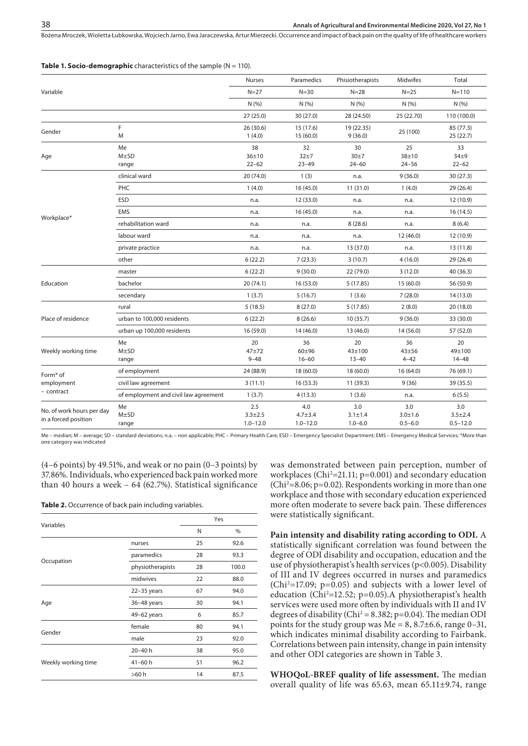| <b>Table 1. Socio-demographic</b> characteristics of the sample $(N = 110)$ . |  |  |  |
|-------------------------------------------------------------------------------|--|--|--|
|-------------------------------------------------------------------------------|--|--|--|

|                                                   |                                       | Nurses                             | Paramedics                         | Phisiotherapists                    | Midwifes                          | Total                                |
|---------------------------------------------------|---------------------------------------|------------------------------------|------------------------------------|-------------------------------------|-----------------------------------|--------------------------------------|
| Variable                                          |                                       | $N=27$                             | $N = 30$                           | $N = 28$                            | $N = 25$                          | $N = 110$                            |
|                                                   |                                       | N(% )                              | N(% )                              | N(%)                                | N(%                               | N(%                                  |
|                                                   |                                       | 27 (25.0)                          | 30 (27.0)                          | 28 (24.50)                          | 25 (22.70)                        | 110 (100.0)                          |
| Gender                                            | F<br>M                                | 26 (30.6)<br>1(4.0)                | 15 (17.6)<br>15(60.0)              | 19 (22.35)<br>9(36.0)               | 25 (100)                          | 85 (77.3)<br>25(22.7)                |
| Age                                               | Me<br>$M\pm SD$<br>range              | 38<br>$36 + 10$<br>$22 - 62$       | 32<br>$32+7$<br>$23 - 49$          | 30<br>30±7<br>$24 - 60$             | 25<br>38±10<br>$24 - 56$          | 33<br>$34\pm9$<br>$22 - 62$          |
|                                                   | clinical ward                         | 20 (74.0)                          | 1(3)                               | n.a.                                | 9(36.0)                           | 30 (27.3)                            |
|                                                   | <b>PHC</b>                            | 1(4.0)                             | 16 (45.0)                          | 11(31.0)                            | 1(4.0)                            | 29 (26.4)                            |
|                                                   | <b>ESD</b>                            | n.a.                               | 12 (33.0)                          | n.a.                                | n.a.                              | 12 (10.9)                            |
|                                                   | <b>EMS</b>                            | n.a.                               | 16 (45.0)                          | n.a.                                | n.a.                              | 16 (14.5)                            |
| Workplace*                                        | rehabilitation ward                   | n.a.                               | n.a.                               | 8(28.6)                             | n.a.                              | 8(6.4)                               |
|                                                   | labour ward                           | n.a.                               | n.a.                               | n.a.                                | 12 (46.0)                         | 12 (10.9)                            |
|                                                   | private practice                      | n.a.                               | n.a.                               | 13 (37.0)                           | n.a.                              | 13 (11.8)                            |
|                                                   | other                                 | 6(22.2)                            | 7(23.3)                            | 3(10.7)                             | 4(16.0)                           | 29 (26.4)                            |
|                                                   | master                                | 6(22.2)                            | 9(30.0)                            | 22 (79.0)                           | 3(12.0)                           | 40 (36.3)                            |
| Education                                         | bachelor                              | 20 (74.1)                          | 16(53.0)                           | 5(17.85)                            | 15(60.0)                          | 56 (50.9)                            |
|                                                   | secendary                             | 1(3.7)                             | 5(16.7)                            | 1(3.6)                              | 7(28.0)                           | 14 (13.0)                            |
|                                                   | rural                                 | 5(18.5)                            | 8(27.0)                            | 5(17.85)                            | 2(8.0)                            | 20 (18.0)                            |
| Place of residence                                | urban to 100,000 residents            | 6(22.2)                            | 8(26.6)                            | 10(35.7)                            | 9(36.0)                           | 33 (30.0)                            |
|                                                   | urban up 100,000 residents            | 16 (59.0)                          | 14 (46.0)                          | 13 (46.0)                           | 14 (56.0)                         | 57 (52.0)                            |
| Weekly working time                               | Me<br>$M \pm SD$<br>range             | 20<br>47±72<br>$9 - 48$            | 36<br>$60 + 96$<br>$16 - 60$       | 20<br>43±100<br>$13 - 40$           | 36<br>$43 + 56$<br>$4 - 42$       | 20<br>49±100<br>$14 - 48$            |
| Form <sup>*</sup> of                              | of employment                         | 24 (88.9)                          | 18 (60.0)                          | 18 (60.0)                           | 16(64.0)                          | 76 (69.1)                            |
| employment                                        | civil law agreement                   | 3(11.1)                            | 16(53.3)                           | 11 (39.3)                           | 9(36)                             | 39 (35.5)                            |
| - contract                                        | of employment and civil law agreement | 1(3.7)                             | 4(13.3)                            | 1(3.6)                              | n.a.                              | 6(5.5)                               |
| No. of work hours per day<br>in a forced position | Me<br>$M\pm SD$<br>range              | 2.5<br>$3.3 + 2.5$<br>$1.0 - 12.0$ | 4.0<br>$4.7 + 3.4$<br>$1.0 - 12.0$ | 3.0<br>$3.1 \pm 1.4$<br>$1.0 - 6.0$ | 3.0<br>$3.0 + 1.6$<br>$0.5 - 6.0$ | 3.0<br>$3.5 \pm 2.4$<br>$0.5 - 12.0$ |

Me – median; M – average; SD – standard deviations; n.a. – non applicable; PHC – Primary Health Care; ESD – Emergency Specialist Department; EMS – Emergency Medical Services; \*More than one category was indicated

(4–6 points) by 49.51%, and weak or no pain (0–3 points) by 37.86%. Individuals, who experienced back pain worked more than 40 hours a week – 64 (62.7%). Statistical significance

**Table 2.** Occurrence of back pain including variables.

|                     |                  | Yes |       |  |  |
|---------------------|------------------|-----|-------|--|--|
| Variables           |                  | N   | $\%$  |  |  |
|                     | nurses           | 25  | 92.6  |  |  |
|                     | paramedics       | 28  | 93.3  |  |  |
| Occupation          | physiotherapists | 28  | 100.0 |  |  |
|                     | midwives         | 22  | 88.0  |  |  |
|                     | $22-35$ years    | 67  | 94.0  |  |  |
| Age                 | 36-48 years      | 30  | 94.1  |  |  |
|                     | 49-62 years      | 6   | 85.7  |  |  |
| Gender              | female           | 80  | 94.1  |  |  |
|                     | male             | 23  | 92.0  |  |  |
|                     | 20-40h           | 38  | 95.0  |  |  |
| Weekly working time | $41 - 60h$       | 51  | 96.2  |  |  |
|                     | >60 h            | 14  | 87.5  |  |  |
|                     |                  |     |       |  |  |

was demonstrated between pain perception, number of workplaces (Chi<sup>2</sup>=21.11; p=0.001) and secondary education (Chi2 =8.06; p=0.02). Respondents working in more than one workplace and those with secondary education experienced more often moderate to severe back pain. These differences were statistically significant.

**Pain intensity and disability rating according to ODI.** A statistically significant correlation was found between the degree of ODI disability and occupation, education and the use of physiotherapist's health services (p<0.005). Disability of III and IV degrees occurred in nurses and paramedics  $(Chi<sup>2</sup>=17.09; p=0.05)$  and subjects with a lower level of education (Chi<sup>2</sup>=12.52; p=0.05). A physiotherapist's health services were used more often by individuals with II and IV degrees of disability (Chi<sup>2</sup> = 8.382; p=0.04). The median ODI points for the study group was  $Me = 8$ , 8.7±6.6, range 0-31, which indicates minimal disability according to Fairbank. Correlations between pain intensity, change in pain intensity and other ODI categories are shown in Table 3.

**WHOQoL-BREF quality of life assessment.** The median overall quality of life was 65.63, mean 65.11±9.74, range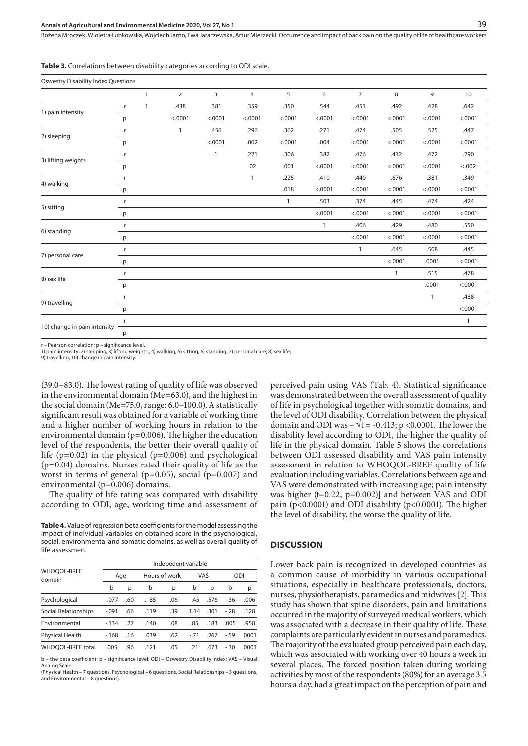**Table 3.** Correlations between disability categories according to ODI scale.

| <b>Oswestry Disability Index Questions</b> |              |   |                |              |              |              |         |                |              |              |              |
|--------------------------------------------|--------------|---|----------------|--------------|--------------|--------------|---------|----------------|--------------|--------------|--------------|
|                                            |              | 1 | $\overline{2}$ | 3            | 4            | 5            | 6       | $\overline{7}$ | 8            | 9            | 10           |
|                                            | $\mathsf{r}$ | 1 | .438           | .381         | .359         | .350         | .544    | .451           | .492         | .428         | .642         |
| 1) pain intensity                          | p            |   | < .0001        | < .0001      | < .0001      | < .0001      | < .0001 | < .0001        | < .0001      | < .0001      | < .0001      |
|                                            | r            |   | $\mathbf{1}$   | .456         | .296         | .362         | .271    | .474           | .505         | .525         | .447         |
| 2) sleeping                                | р            |   |                | < .0001      | .002         | < .0001      | .004    | < .0001        | < .0001      | < .0001      | < .0001      |
| 3) lifting weights                         | r            |   |                | $\mathbf{1}$ | .221         | .306         | .382    | .476           | .412         | .472         | .290         |
|                                            | p            |   |                |              | .02          | .001         | < .0001 | < .0001        | < .0001      | < .0001      | < .002       |
|                                            | r            |   |                |              | $\mathbf{1}$ | .225         | .410    | .440           | .676         | .381         | .349         |
| 4) walking                                 | p            |   |                |              |              | .018         | < .0001 | < .0001        | < .0001      | < .0001      | < .0001      |
| 5) sitting                                 | $\mathsf{r}$ |   |                |              |              | $\mathbf{1}$ | .503    | .374           | .445         | .474         | .424         |
|                                            | p            |   |                |              |              |              | < .0001 | < .0001        | < .0001      | < .0001      | < .0001      |
| 6) standing                                | $\mathsf{r}$ |   |                |              |              |              | 1       | .406           | .429         | .480         | .550         |
|                                            | p            |   |                |              |              |              |         | < .0001        | < .0001      | < .0001      | < .0001      |
| 7) personal care                           | r            |   |                |              |              |              |         | $\mathbf{1}$   | .645         | .508         | .445         |
|                                            | p            |   |                |              |              |              |         |                | < .0001      | .0001        | < .0001      |
| 8) sex life                                | r            |   |                |              |              |              |         |                | $\mathbf{1}$ | .515         | .478         |
|                                            | p            |   |                |              |              |              |         |                |              | .0001        | < .0001      |
| 9) travelling                              | r            |   |                |              |              |              |         |                |              | $\mathbf{1}$ | .488         |
|                                            | p            |   |                |              |              |              |         |                |              |              | < .0001      |
| 10) change in pain intensity               | r            |   |                |              |              |              |         |                |              |              | $\mathbf{1}$ |
|                                            | р            |   |                |              |              |              |         |                |              |              |              |

r – Pearson correlation; p – significance level.

1) pain intensity; 2) sleeping; 3) lifting weights.; 4) walking; 5) sitting; 6) standing; 7) personal care; 8) sex life;

9) travelling; 10) change in pain intensity.

(39.0–83.0). The lowest rating of quality of life was observed in the environmental domain (Me=63.0), and the highest in the social domain (Me=75.0, range: 6.0–100.0). A statistically significant result was obtained for a variable of working time and a higher number of working hours in relation to the environmental domain (p=0.006). The higher the education level of the respondents, the better their overall quality of life ( $p=0.02$ ) in the physical ( $p=0.006$ ) and psychological (p=0.04) domains. Nurses rated their quality of life as the worst in terms of general ( $p=0.05$ ), social ( $p=0.007$ ) and environmental (p=0.006) domains.

The quality of life rating was compared with disability according to ODI, age, working time and assessment of

**Table 4.** Value of regression beta coefficients for the model assessing the impact of individual variables on obtained score in the psychological, social, environmental and somatic domains, as well as overall quality of life assessmen.

|                              | Indepedent variable |     |      |               |        |      |       |       |  |
|------------------------------|---------------------|-----|------|---------------|--------|------|-------|-------|--|
| <b>WHOOOL-BREF</b><br>domain |                     | Age |      | Hours of work | VAS    |      | ODI   |       |  |
|                              | b                   | р   | b    | p             | b      | p    | b     | р     |  |
| Psychological                | $-.077$             | .60 | .185 | .06           | $-45$  | .576 | $-36$ | .006  |  |
| Social Relationships         | $-.091$             | .66 | .119 | .39           | 1.14   | .301 | $-28$ | .128  |  |
| Environmental                | $-134$              | -27 | .140 | .08           | .85    | .183 | .005  | .958  |  |
| Physical Health              | $-168$              | .16 | .039 | .62           | $-.71$ | .267 | $-59$ | .0001 |  |
| WHOOOL-BREF total            | .005                | .96 | .121 | .05           | .21    | .673 | $-30$ | .0001 |  |
|                              |                     |     |      |               |        |      |       |       |  |

b – the beta coefficient; p – significance level; ODI – Oswestry Disability Index; VAS – Visual Analog Scale

(Physical Health – 7 questions, Psychological – 6 questions, Social Relationships – 3 questions, and Environmental – 8 questions).

perceived pain using VAS (Tab. 4). Statistical significance was demonstrated between the overall assessment of quality of life in psychological together with somatic domains, and the level of ODI disability. Correlation between the physical domain and ODI was –  $\sqrt{t}$  = -0.413; p <0.0001. The lower the disability level according to ODI, the higher the quality of life in the physical domain. Table 5 shows the correlations between ODI assessed disability and VAS pain intensity assessment in relation to WHOQOL-BREF quality of life evaluation including variables. Correlations between age and VAS were demonstrated with increasing age; pain intensity was higher (t=0.22, p=0.002)] and between VAS and ODI pain (p<0.0001) and ODI disability (p<0.0001). The higher the level of disability, the worse the quality of life.

#### **DISCUSSION**

Lower back pain is recognized in developed countries as a common cause of morbidity in various occupational situations, especially in healthcare professionals, doctors, nurses, physiotherapists, paramedics and midwives [2]. This study has shown that spine disorders, pain and limitations occurred in the majority of surveyed medical workers, which was associated with a decrease in their quality of life. These complaints are particularly evident in nurses and paramedics. The majority of the evaluated group perceived pain each day, which was associated with working over 40 hours a week in several places. The forced position taken during working activities by most of the respondents (80%) for an average 3.5 hours a day, had a great impact on the perception of pain and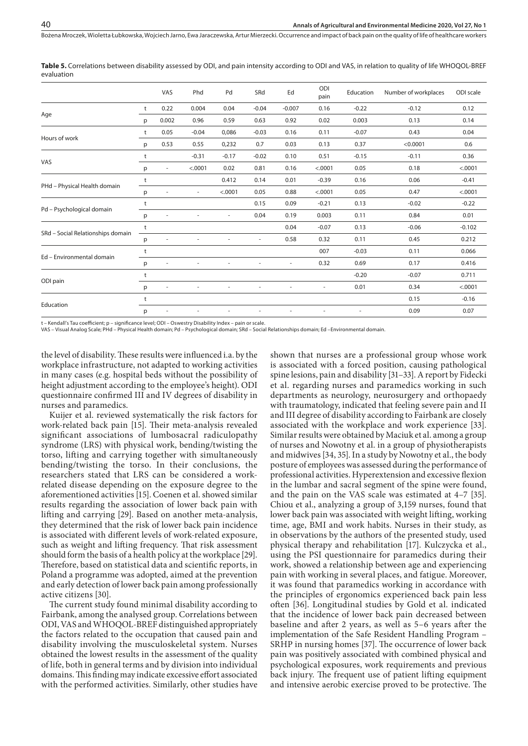**Table 5.** Correlations between disability assessed by ODI, and pain intensity according to ODI and VAS, in relation to quality of life WHOQOL-BREF evaluation

|                                   |   | VAS   | Phd                      | Pd      | SRd     | Ed                       | ODI<br>pain | Education | Number of workplaces | ODI scale |
|-----------------------------------|---|-------|--------------------------|---------|---------|--------------------------|-------------|-----------|----------------------|-----------|
| Age                               | t | 0.22  | 0.004                    | 0.04    | $-0.04$ | $-0.007$                 | 0.16        | $-0.22$   | $-0.12$              | 0.12      |
|                                   | p | 0.002 | 0.96                     | 0.59    | 0.63    | 0.92                     | 0.02        | 0.003     | 0.13                 | 0.14      |
| Hours of work                     | t | 0.05  | $-0.04$                  | 0,086   | $-0.03$ | 0.16                     | 0.11        | $-0.07$   | 0.43                 | 0.04      |
|                                   | p | 0.53  | 0.55                     | 0,232   | 0.7     | 0.03                     | 0.13        | 0.37      | < 0.0001             | 0.6       |
|                                   | t |       | $-0.31$                  | $-0.17$ | $-0.02$ | 0.10                     | 0.51        | $-0.15$   | $-0.11$              | 0.36      |
| VAS                               | p | ٠     | < .0001                  | 0.02    | 0.81    | 0.16                     | < .0001     | 0.05      | 0.18                 | < .0001   |
| PHd - Physical Health domain      | t |       |                          | 0.412   | 0.14    | 0.01                     | $-0.39$     | 0.16      | 0.06                 | $-0.41$   |
|                                   | p |       | $\overline{\phantom{a}}$ | < .0001 | 0.05    | 0.88                     | < .0001     | 0.05      | 0.47                 | < .0001   |
|                                   | t |       |                          |         | 0.15    | 0.09                     | $-0.21$     | 0.13      | $-0.02$              | $-0.22$   |
| Pd - Psychological domain         | p |       | $\overline{\phantom{m}}$ | $\sim$  | 0.04    | 0.19                     | 0.003       | 0.11      | 0.84                 | 0.01      |
| SRd - Social Relationships domain | t |       |                          |         |         | 0.04                     | $-0.07$     | 0.13      | $-0.06$              | $-0.102$  |
|                                   | р |       | ÷,                       |         |         | 0.58                     | 0.32        | 0.11      | 0.45                 | 0.212     |
| Ed - Environmental domain         | t |       |                          |         |         |                          | 007         | $-0.03$   | 0.11                 | 0.066     |
|                                   | p |       | $\overline{\phantom{a}}$ | $\sim$  |         | $\overline{\phantom{a}}$ | 0.32        | 0.69      | 0.17                 | 0.416     |
| ODI pain                          | t |       |                          |         |         |                          |             | $-0.20$   | $-0.07$              | 0.711     |
|                                   | p |       | ٠                        |         |         |                          |             | 0.01      | 0.34                 | < .0001   |
| Education                         | t |       |                          |         |         |                          |             |           | 0.15                 | $-0.16$   |
|                                   | p |       | ٠                        |         |         | ٠                        |             | ٠         | 0.09                 | 0.07      |

Kendall's Tau coefficient; p – significance level; ODI – Oswestry Disability Index – pain or scale.

VAS – Visual Analog Scale; PHd – Physical Health domain; Pd – Psychological domain; SRd – Social Relationships domain; Ed –Environmental domain.

the level of disability. These results were influenced i.a. by the workplace infrastructure, not adapted to working activities in many cases (e.g. hospital beds without the possibility of height adjustment according to the employee's height). ODI questionnaire confirmed III and IV degrees of disability in nurses and paramedics.

Kuijer et al. reviewed systematically the risk factors for work-related back pain [15]. Their meta-analysis revealed significant associations of lumbosacral radiculopathy syndrome (LRS) with physical work, bending/twisting the torso, lifting and carrying together with simultaneously bending/twisting the torso. In their conclusions, the researchers stated that LRS can be considered a workrelated disease depending on the exposure degree to the aforementioned activities [15]. Coenen et al. showed similar results regarding the association of lower back pain with lifting and carrying [29]. Based on another meta-analysis, they determined that the risk of lower back pain incidence is associated with different levels of work-related exposure, such as weight and lifting frequency. That risk assessment should form the basis of a health policy at the workplace [29]. Therefore, based on statistical data and scientific reports, in Poland a programme was adopted, aimed at the prevention and early detection of lower back pain among professionally active citizens [30].

The current study found minimal disability according to Fairbank, among the analysed group. Correlations between ODI, VAS and WHOQOL-BREF distinguished appropriately the factors related to the occupation that caused pain and disability involving the musculoskeletal system. Nurses obtained the lowest results in the assessment of the quality of life, both in general terms and by division into individual domains. This finding may indicate excessive effort associated with the performed activities. Similarly, other studies have

shown that nurses are a professional group whose work is associated with a forced position, causing pathological spine lesions, pain and disability [31–33]. A report by Fidecki et al. regarding nurses and paramedics working in such departments as neurology, neurosurgery and orthopaedy with traumatology, indicated that feeling severe pain and II and III degree of disability according to Fairbank are closely associated with the workplace and work experience [33]. Similar results were obtained by Maciuk et al. among a group of nurses and Nowotny et al. in a group of physiotherapists and midwives [34, 35]. In a study by Nowotny et al., the body posture of employees was assessed during the performance of professional activities. Hyperextension and excessive flexion in the lumbar and sacral segment of the spine were found, and the pain on the VAS scale was estimated at 4–7 [35]. Chiou et al., analyzing a group of 3,159 nurses, found that lower back pain was associated with weight lifting, working time, age, BMI and work habits. Nurses in their study, as in observations by the authors of the presented study, used physical therapy and rehabilitation [17]. Kulczycka et al., using the PSI questionnaire for paramedics during their work, showed a relationship between age and experiencing pain with working in several places, and fatigue. Moreover, it was found that paramedics working in accordance with the principles of ergonomics experienced back pain less often [36]. Longitudinal studies by Gold et al. indicated that the incidence of lower back pain decreased between baseline and after 2 years, as well as 5–6 years after the implementation of the Safe Resident Handling Program – SRHP in nursing homes [37]. The occurrence of lower back pain was positively associated with combined physical and psychological exposures, work requirements and previous back injury. The frequent use of patient lifting equipment and intensive aerobic exercise proved to be protective. The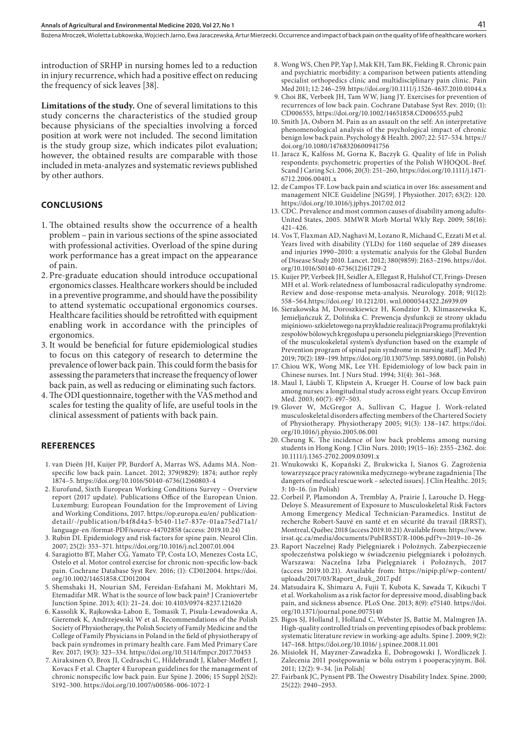introduction of SRHP in nursing homes led to a reduction in injury recurrence, which had a positive effect on reducing the frequency of sick leaves [38].

**Limitations of the study.** One of several limitations to this study concerns the characteristics of the studied group because physicians of the specialties involving a forced position at work were not included. The second limitation is the study group size, which indicates pilot evaluation; however, the obtained results are comparable with those included in meta-analyzes and systematic reviews published by other authors.

#### **CONCLUSIONS**

- 1. The obtained results show the occurrence of a health problem – pain in various sections of the spine associated with professional activities. Overload of the spine during work performance has a great impact on the appearance of pain.
- 2. Pre-graduate education should introduce occupational ergonomics classes. Healthcare workers should be included in a preventive programme, and should have the possibility to attend systematic occupational ergonomics courses. Healthcare facilities should be retrofitted with equipment enabling work in accordance with the principles of ergonomics.
- 3. It would be beneficial for future epidemiological studies to focus on this category of research to determine the prevalence of lower back pain. This could form the basis for assessing the parameters that increase the frequency of lower back pain, as well as reducing or eliminating such factors.
- 4.The ODI questionnaire, together with the VAS method and scales for testing the quality of life, are useful tools in the clinical assessment of patients with back pain.

### **REFERENCES**

- 1. van Dieën JH, Kuijer PP, Burdorf A, Marras WS, Adams MA. Nonspecific low back pain. Lancet. 2012; 379(9829): 1874; author reply 1874–5. https://doi.org/10.1016/S0140-6736(12)60803-4
- 2. Eurofund, Sixth European Working Conditions Survey Overview report (2017 update). Publications Office of the European Union. Luxemburg: European Foundation for the Improvement of Living and Working Conditions, 2017. https://op.europa.eu/en/ publicationdetail/-/publication/b4f8d4a5-b540-11e7-837e-01aa75ed71a1/ language-en /format-PDF/source-44702858 (access: 2019.10.24)
- 3. Rubin DI. Epidemiology and risk factors for spine pain. Neurol Clin. 2007; 25(2): 353–371. https://doi.org/10.1016/j.ncl.2007.01.004
- 4. Saragiotto BT, Maher CG, Yamato TP, Costa LO, Menezes Costa LC, Ostelo et al. Motor control exercise for chronic non-specific low-back pain. Cochrane Database Syst Rev. 2016; (1): CD012004. https://doi. org/10.1002/14651858.CD012004
- 5. Shemshaki H, Nourian SM, Fereidan-Esfahani M, Mokhtari M, Etemadifar MR. What is the source of low back pain? J Craniovertebr Junction Spine. 2013; 4(1): 21–24. doi: 10.4103/0974-8237.121620
- 6. Kassolik K, Rajkowska-Labon E, Tomasik T, Pisula-Lewadowska A, Gieremek K, Andrzejewski W et al. Recommendations of the Polish Society of Physiotherapy, the Polish Society of Family Medicine and the College of Family Physicians in Poland in the field of physiotherapy of back pain syndromes in primary health care. Fam Med Primary Care Rev. 2017; 19(3): 323–334. https://doi.org/10.5114/fmpcr.2017.70453
- 7. Airaksinen O, Brox JI, Cedraschi C, Hildebrandt J, Klaber-Moffett J, Kovacs F et al. Chapter 4 European guidelines for the management of chronic nonspecific low back pain. Eur Spine J. 2006; 15 Suppl 2(S2): S192–300. https://doi.org/10.1007/s00586-006-1072-1
- 8. Wong WS, Chen PP, Yap J, Mak KH, Tam BK, Fielding R. Chronic pain and psychiatric morbidity: a comparison between patients attending specialist orthopedics clinic and multidisciplinary pain clinic. Pain Med 2011; 12: 246–259. https://doi.org/10.1111/j.1526-4637.2010.01044.x
- 9. Choi BK, Verbeek JH, Tam WW, Jiang JY. Exercises for prevention of recurrences of low back pain. Cochrane Database Syst Rev. 2010; (1): CD006555, https://doi.org/10.1002/14651858.CD006555.pub2
- 10. Smith JA, Osborn M. Pain as an assault on the self: An interpretative phenomenological analysis of the psychological impact of chronic benign low back pain. Psychology & Health. 2007; 22: 517–534. https:// doi.org/10.1080/14768320600941756
- 11. Jaracz K, Kalfoss M, Gorna K, Baczyk G. Quality of life in Polish respondents: psychometric properties of the Polish WHOQOL-Bref. Scand J Caring Sci. 2006; 20(3): 251−260, https://doi.org/10.1111/j.1471- 6712.2006.00401.x
- 12. de Campos TF. Low back pain and sciatica in over 16s: assessment and management NICE Guideline [NG59]. J Physiother. 2017; 63(2): 120. https://doi.org/10.1016/j.jphys.2017.02.012
- 13. CDC. Prevalence and most common causes of disability among adults-United States, 2005. MMWR Morb Mortal Wkly Rep. 2009; 58(16): 421–426.
- 14. Vos T, Flaxman AD, Naghavi M, Lozano R, Michaud C, Ezzati M et al. Years lived with disability (YLDs) for 1160 sequelae of 289 diseases and injuries 1990–2010: a systematic analysis for the Global Burden of Disease Study 2010. Lancet. 2012; 380(9859): 2163–2196. https://doi. org/10.1016/S0140-6736(12)61729-2
- 15. Kuijer PP, Verbeek JH, Seidler A, Ellegast R, Hulshof CT, Frings-Dresen MH et al. Work-relatedness of lumbosacral radiculopathy syndrome. Review and dose-response meta-analysis. Neurology. 2018; 91(12): 558–564.https://doi.org/ 10.1212/01. wnl.0000544322.26939.09
- 16. Sierakowska M, Doroszkiewicz H, Kondzior D, Klimaszewska K, Jemieljańczuk Z, Dolińska C. Prewencja dysfunkcji ze strony układu mięśniowo-szkieletowego na przykładzie realizacji Programu profilaktyki zespołów bólowych kręgosłupa u personelu pielęgniarskiego [Prevention of the musculoskeletal system's dysfunction based on the example of Prevention program of spinal pain syndrome in nursing staff]. Med Pr. 2019; 70(2): 189–199. https://doi.org/10.13075/mp. 5893.00801. (in Polish)
- 17. Chiou WK, Wong MK, Lee YH. Epidemiology of low back pain in Chinese nurses. Int. J Nurs Stud. 1994; 31(4): 361–368.
- 18. Maul I, Läubli T, Klipstein A, Krueger H. Course of low back pain among nurses: a longitudinal study across eight years. Occup Environ Med. 2003; 60(7): 497–503.
- 19. Glover W, McGregor A, Sullivan C, Hague J. Work-related musculoskeletal disorders affecting members of the Chartered Society of Physiotherapy. Physiotherapy 2005; 91(3): 138–147. https://doi. org/10.1016/j.physio.2005.06.001
- 20. Cheung K. The incidence of low back problems among nursing students in Hong Kong. J Clin Nurs. 2010; 19(15–16): 2355–2362. doi: 10.1111/j.1365-2702.2009.03091.x
- 21. Wnukowski K, Kopański Z, Brukwicka I, Sianos G. Zagrożenia towarzyszące pracy ratownika medycznego-wybrane zagadnienia [The dangers of medical rescue work – selected issues]. J Clin Healthc. 2015; 3: 10–16. (in Polish)
- 22. Corbeil P, Plamondon A, Tremblay A, Prairie J, Larouche D, Hegg-Deloye S. Measurement of Exposure to Musculoskeletal Risk Factors Among Emergency Medical Technician-Paramedics. Institut de recherche Robert-Sauvé en santé et en sécurité du travail (IRRST), Montreal, Québec 2018 (access 2019.10.21) Available from: https://www. irsst.qc.ca/media/documents/PubIRSST/R-1006.pdf?v=2019–10–26
- 23. Raport Naczelnej Rady Pielęgniarek i Położnych. Zabezpieczenie społeczeństwa polskiego w świadczeniu pielęgniarek i położnych. Warszawa: Naczelna Izba Pielęgniarek i Położnych, 2017 (access 2019.10.21). Available from: https://nipip.pl/wp-content/ uploads/2017/03/Raport\_druk\_2017.pdf
- 24. Matsudaira K, Shimazu A, Fujii T, Kubota K, Sawada T, Kikuchi T et al. Workaholism as a risk factor for depressive mood, disabling back pain, and sickness absence. PLoS One. 2013; 8(9): e75140. https://doi. org/10.1371/journal.pone.0075140
- 25. Bigos SJ, Holland J, Holland C, Webster JS, Battie M, Malmgren JA. High-quality controlled trials on preventing episodes of back problems: systematic literature review in working-age adults. Spine J. 2009; 9(2): 147–168. https://doi.org/10.1016/ j.spinee.2008.11.001
- 26. Misiołek H, Mayzner-Zawadzka E, Dobrogowski J, Wordliczek J. Zalecenia 2011 postępowania w bólu ostrym i pooperacyjnym. Ból. 2011; 12(2): 9–34. [in Polish]
- 27. Fairbank JC, Pynsent PB. The Oswestry Disability Index. Spine. 2000; 25(22): 2940–2953.